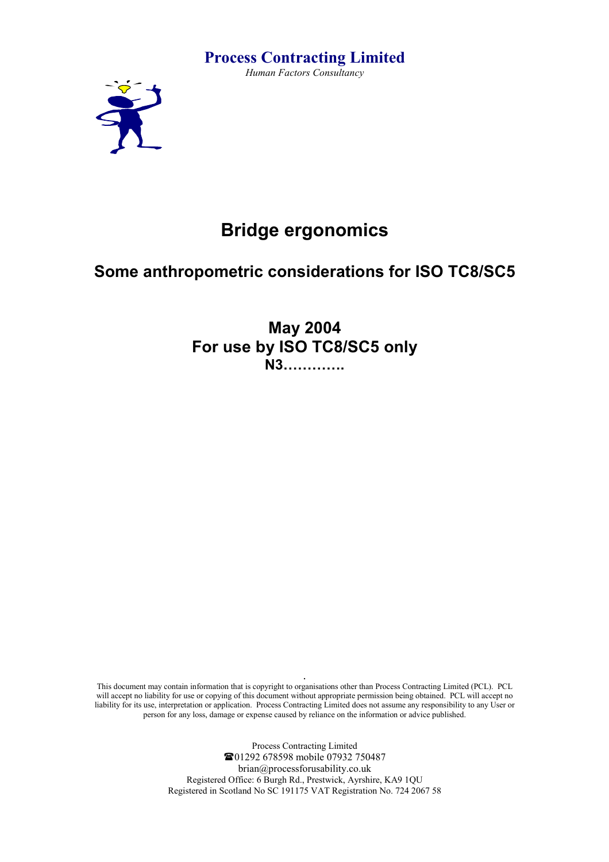## **Process Contracting Limited**

*Human Factors Consultancy* 



# **Bridge ergonomics**

# **Some anthropometric considerations for ISO TC8/SC5**

**May 2004 For use by ISO TC8/SC5 only N3………….** 

**.** This document may contain information that is copyright to organisations other than Process Contracting Limited (PCL). PCL will accept no liability for use or copying of this document without appropriate permission being obtained. PCL will accept no liability for its use, interpretation or application. Process Contracting Limited does not assume any responsibility to any User or person for any loss, damage or expense caused by reliance on the information or advice published.

> Process Contracting Limited 01292 678598 mobile 07932 750487 brian@processforusability.co.uk Registered Office: 6 Burgh Rd., Prestwick, Ayrshire, KA9 1QU Registered in Scotland No SC 191175 VAT Registration No. 724 2067 58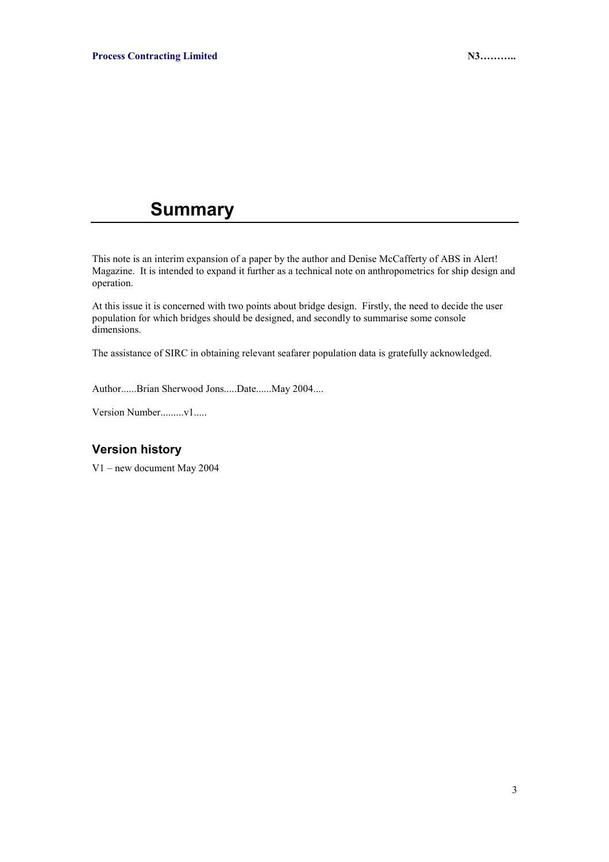# **Summary**

This note is an interim expansion of a paper by the author and Denise McCafferty of ABS in Alert! Magazine. It is intended to expand it further as a technical note on anthropometrics for ship design and operation.

At this issue it is concerned with two points about bridge design. Firstly, the need to decide the user population for which bridges should be designed, and secondly to summarise some console dimensions.

The assistance of SIRC in obtaining relevant seafarer population data is gratefully acknowledged.

Author......Brian Sherwood Jons.....Date......May 2004....

Version Number.........v1.....

### **Version history**

V1 – new document May 2004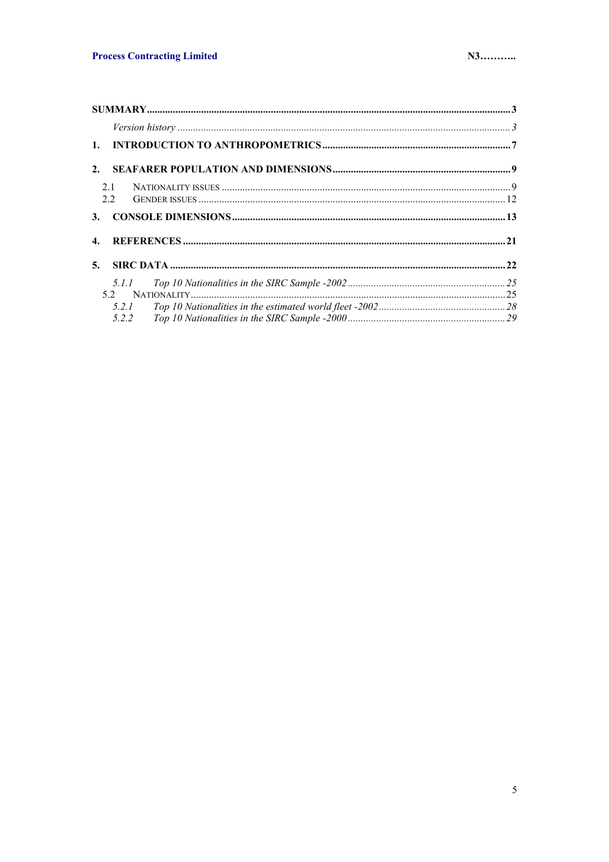| 2.             |  |
|----------------|--|
| 2.1            |  |
| 2.2            |  |
| 3.             |  |
| $\mathbf{4}$ . |  |
| 5 <sub>1</sub> |  |
| 5.1.1          |  |
|                |  |
| 5.2.1          |  |
| 5.2.2          |  |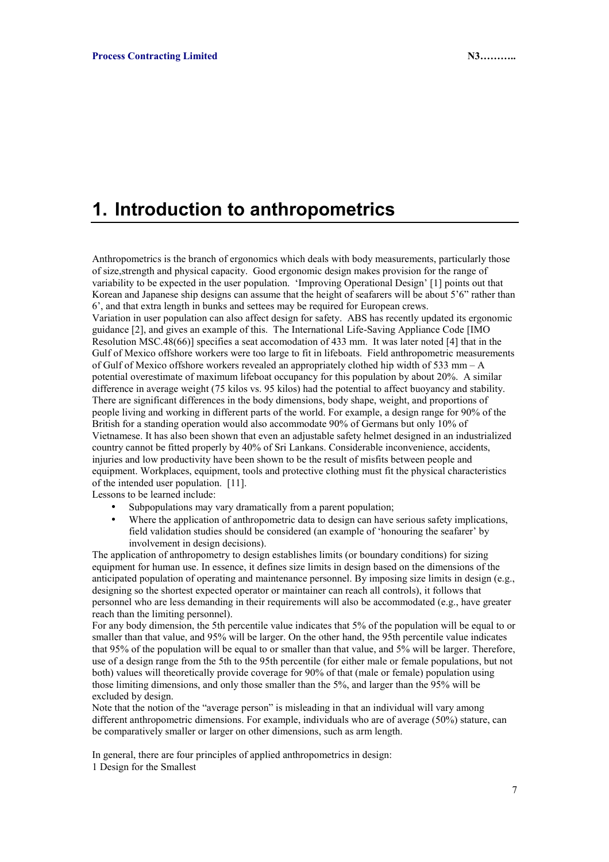# **1. Introduction to anthropometrics**

Anthropometrics is the branch of ergonomics which deals with body measurements, particularly those of size,strength and physical capacity. Good ergonomic design makes provision for the range of variability to be expected in the user population. 'Improving Operational Design' [1] points out that Korean and Japanese ship designs can assume that the height of seafarers will be about 5'6" rather than 6', and that extra length in bunks and settees may be required for European crews. Variation in user population can also affect design for safety. ABS has recently updated its ergonomic guidance [2], and gives an example of this. The International Life-Saving Appliance Code [IMO Resolution MSC.48(66)] specifies a seat accomodation of 433 mm. It was later noted [4] that in the Gulf of Mexico offshore workers were too large to fit in lifeboats. Field anthropometric measurements of Gulf of Mexico offshore workers revealed an appropriately clothed hip width of 533 mm – A potential overestimate of maximum lifeboat occupancy for this population by about 20%. A similar difference in average weight (75 kilos vs. 95 kilos) had the potential to affect buoyancy and stability. There are significant differences in the body dimensions, body shape, weight, and proportions of people living and working in different parts of the world. For example, a design range for 90% of the

British for a standing operation would also accommodate 90% of Germans but only 10% of Vietnamese. It has also been shown that even an adjustable safety helmet designed in an industrialized country cannot be fitted properly by 40% of Sri Lankans. Considerable inconvenience, accidents, injuries and low productivity have been shown to be the result of misfits between people and equipment. Workplaces, equipment, tools and protective clothing must fit the physical characteristics of the intended user population. [11].

Lessons to be learned include:

- Subpopulations may vary dramatically from a parent population;
- Where the application of anthropometric data to design can have serious safety implications, field validation studies should be considered (an example of 'honouring the seafarer' by involvement in design decisions).

The application of anthropometry to design establishes limits (or boundary conditions) for sizing equipment for human use. In essence, it defines size limits in design based on the dimensions of the anticipated population of operating and maintenance personnel. By imposing size limits in design (e.g., designing so the shortest expected operator or maintainer can reach all controls), it follows that personnel who are less demanding in their requirements will also be accommodated (e.g., have greater reach than the limiting personnel).

For any body dimension, the 5th percentile value indicates that 5% of the population will be equal to or smaller than that value, and 95% will be larger. On the other hand, the 95th percentile value indicates that 95% of the population will be equal to or smaller than that value, and 5% will be larger. Therefore, use of a design range from the 5th to the 95th percentile (for either male or female populations, but not both) values will theoretically provide coverage for 90% of that (male or female) population using those limiting dimensions, and only those smaller than the 5%, and larger than the 95% will be excluded by design.

Note that the notion of the "average person" is misleading in that an individual will vary among different anthropometric dimensions. For example, individuals who are of average (50%) stature, can be comparatively smaller or larger on other dimensions, such as arm length.

In general, there are four principles of applied anthropometrics in design: 1 Design for the Smallest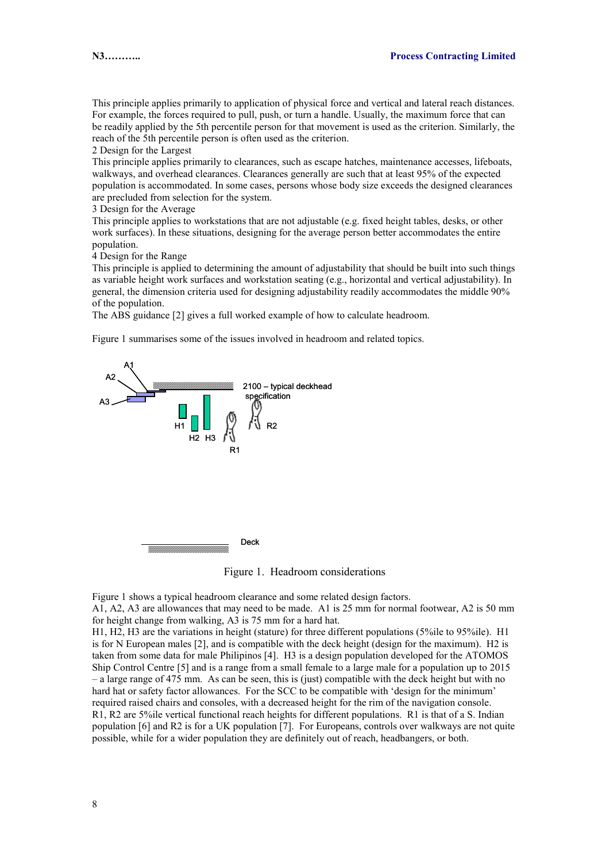This principle applies primarily to application of physical force and vertical and lateral reach distances. For example, the forces required to pull, push, or turn a handle. Usually, the maximum force that can be readily applied by the 5th percentile person for that movement is used as the criterion. Similarly, the reach of the 5th percentile person is often used as the criterion.

2 Design for the Largest

This principle applies primarily to clearances, such as escape hatches, maintenance accesses, lifeboats, walkways, and overhead clearances. Clearances generally are such that at least 95% of the expected population is accommodated. In some cases, persons whose body size exceeds the designed clearances are precluded from selection for the system.

3 Design for the Average

This principle applies to workstations that are not adjustable (e.g. fixed height tables, desks, or other work surfaces). In these situations, designing for the average person better accommodates the entire population.

4 Design for the Range

This principle is applied to determining the amount of adjustability that should be built into such things as variable height work surfaces and workstation seating (e.g., horizontal and vertical adjustability). In general, the dimension criteria used for designing adjustability readily accommodates the middle 90% of the population.

The ABS guidance [2] gives a full worked example of how to calculate headroom.

Figure 1 summarises some of the issues involved in headroom and related topics.



Figure 1. Headroom considerations

Figure 1 shows a typical headroom clearance and some related design factors.

A1, A2, A3 are allowances that may need to be made. A1 is 25 mm for normal footwear, A2 is 50 mm for height change from walking, A3 is 75 mm for a hard hat.

H1, H2, H3 are the variations in height (stature) for three different populations (5%ile to 95%ile). H1 is for N European males [2], and is compatible with the deck height (design for the maximum). H2 is taken from some data for male Philipinos [4]. H3 is a design population developed for the ATOMOS Ship Control Centre [5] and is a range from a small female to a large male for a population up to 2015 – a large range of 475 mm. As can be seen, this is (just) compatible with the deck height but with no hard hat or safety factor allowances. For the SCC to be compatible with 'design for the minimum' required raised chairs and consoles, with a decreased height for the rim of the navigation console. R1, R2 are 5%ile vertical functional reach heights for different populations. R1 is that of a S. Indian population [6] and R2 is for a UK population [7]. For Europeans, controls over walkways are not quite possible, while for a wider population they are definitely out of reach, headbangers, or both.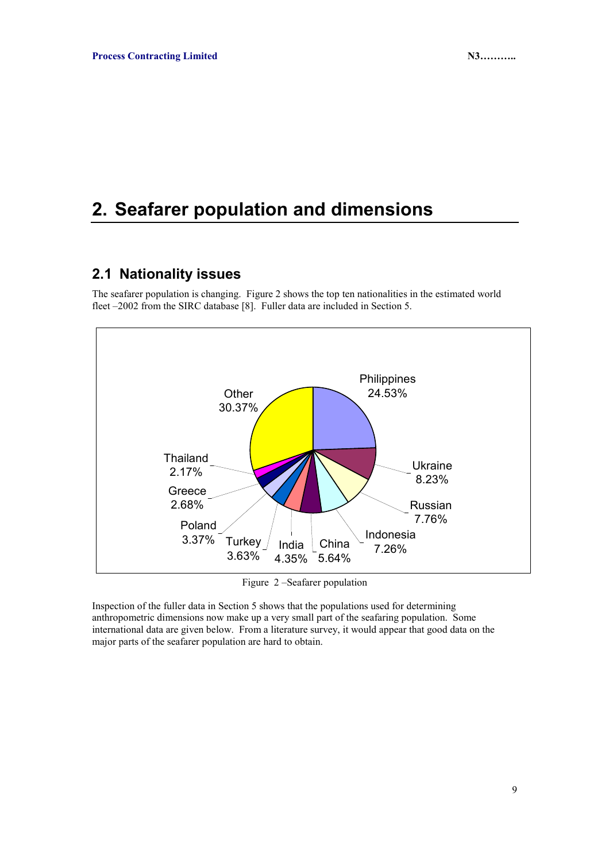# **2. Seafarer population and dimensions**

### **2.1 Nationality issues**

The seafarer population is changing. Figure 2 shows the top ten nationalities in the estimated world fleet –2002 from the SIRC database [8]. Fuller data are included in Section 5.



Figure 2 –Seafarer population

Inspection of the fuller data in Section 5 shows that the populations used for determining anthropometric dimensions now make up a very small part of the seafaring population. Some international data are given below. From a literature survey, it would appear that good data on the major parts of the seafarer population are hard to obtain.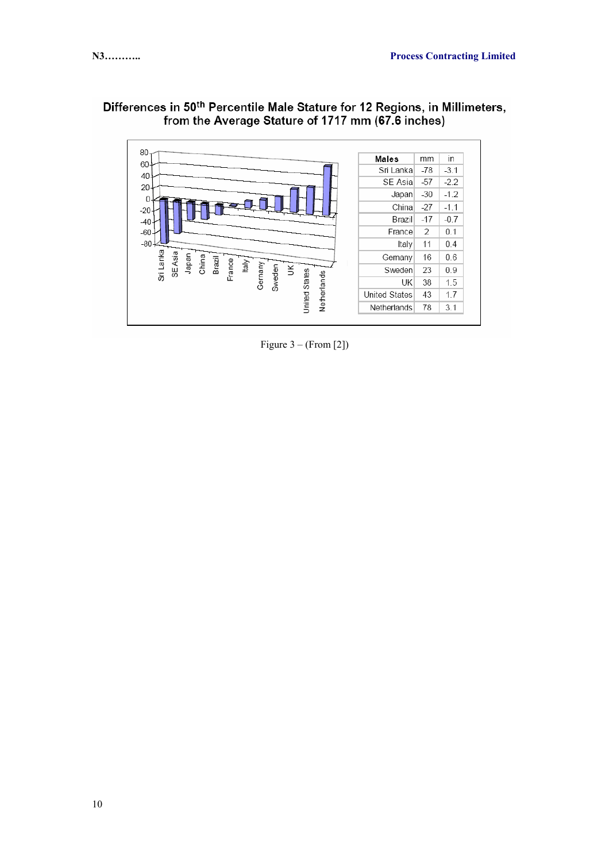



Figure  $3 - (From [2])$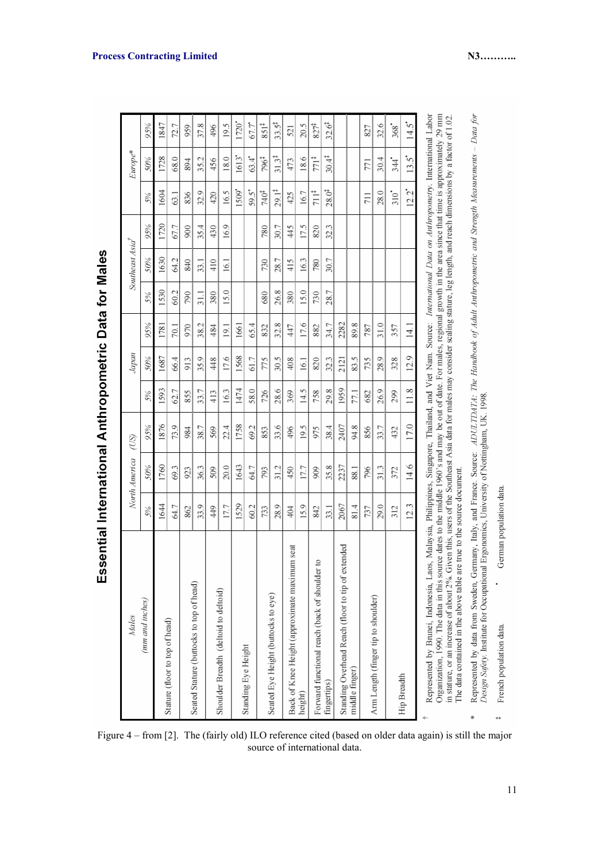| Males                                                                                                                                                                                                                                                                                                                                                                                                                                                                          |             | North America | (US) |                                 | Japan   |          |      | Southeast Asia <sup>†</sup> |                         |                   | Europe*                                                  |                    |
|--------------------------------------------------------------------------------------------------------------------------------------------------------------------------------------------------------------------------------------------------------------------------------------------------------------------------------------------------------------------------------------------------------------------------------------------------------------------------------|-------------|---------------|------|---------------------------------|---------|----------|------|-----------------------------|-------------------------|-------------------|----------------------------------------------------------|--------------------|
| (mm and inches)                                                                                                                                                                                                                                                                                                                                                                                                                                                                | 5%          | 50%           | 95%  | 5%                              | 50%     | 95%      | 5%   | 50%                         | 95%                     | 5%                | 50%                                                      | 95%                |
|                                                                                                                                                                                                                                                                                                                                                                                                                                                                                | 1644        | 1760          | 1876 | 1593                            | 1687    | $^{178}$ | 1530 | 1630                        | 1720                    | 1604              | 1728                                                     | 1847               |
| Stature (floor to top of head)                                                                                                                                                                                                                                                                                                                                                                                                                                                 | 64.7        | 69.3          | 73.9 | 62.7                            | 66.4    | 70.1     | 60.2 | 64.2                        | 67.7                    | 63.1              | 68.0                                                     | 72.7               |
|                                                                                                                                                                                                                                                                                                                                                                                                                                                                                | 862         | 923           | 984  | 855                             | 913     | 970      | 790  | S40                         | 900                     | 836               | 894                                                      | 959                |
| Seated Stature (buttocks to top of head)                                                                                                                                                                                                                                                                                                                                                                                                                                       | 33.9        | 36.3          | 38.7 | 33.7                            | 35.9    | 38.2     | 31.1 | 33.1                        | 35.4                    | 32.9              | 35.2                                                     | 37.8               |
|                                                                                                                                                                                                                                                                                                                                                                                                                                                                                | 449         | 509           | 569  | 413                             | 448     | 484      | 380  | 410                         | 430                     | 420               | 456                                                      | 496                |
| Shoulder Breadth (deltoid to deltoid)                                                                                                                                                                                                                                                                                                                                                                                                                                          | 17.7        | 20.0          | 22.4 | 163                             | 17.6    | 19.1     | 15.0 | 16.                         | 16.9                    | 16.5              | 18.0                                                     | 19.5               |
|                                                                                                                                                                                                                                                                                                                                                                                                                                                                                | 1529        | 1643          | 1758 | 1474                            | 1568    | 1661     |      |                             |                         | 1509*             | 1613*                                                    | $\tilde{\kappa}$   |
| Standing Eye Height                                                                                                                                                                                                                                                                                                                                                                                                                                                            | 60.2        | 64.7          | 69.2 | 58.0                            | 61.7    | 65.4     |      |                             |                         | 59.5*             | 63.4                                                     | 67.7               |
|                                                                                                                                                                                                                                                                                                                                                                                                                                                                                | 733         | 793           | 853  | 726                             | 775     | 832      | 680  | 730                         | 780                     | 740 <sup>#</sup>  | 796‡                                                     | $851^{\ddagger}$   |
| Seated Eye Height (buttocks to eye)                                                                                                                                                                                                                                                                                                                                                                                                                                            | 28.9        | 31.2          | 33.6 | 28.6                            | 30.5    | 32.8     | 26.8 | 28.7                        | 30.7                    | $29.1^{\ddagger}$ | $31.3^{\ddagger}$                                        | $33.5^{\ddagger}$  |
| Back of Knee Height (approximate maximum seat                                                                                                                                                                                                                                                                                                                                                                                                                                  | $rac{4}{3}$ | 450           | 496  | 369                             | 408     | 447      | 380  | 415                         | 445                     | 425               | 473                                                      | 521                |
| height)                                                                                                                                                                                                                                                                                                                                                                                                                                                                        | 15.9        | 17.7          | 19.5 | 14.5                            | 16.1    | 17.6     | 15.0 | 16.3                        | 17.5                    | 16.7              | 18.6                                                     | 20.5               |
| $\overline{c}$<br>Forward functional reach (back of shoulder                                                                                                                                                                                                                                                                                                                                                                                                                   | 342         | 909           | 975  | 758                             | 820     | 882      | 730  | 780                         | 820                     | 711 <sup>‡</sup>  | $771$ <sup>#</sup>                                       | $827^{4}$          |
| fingertips)                                                                                                                                                                                                                                                                                                                                                                                                                                                                    | 33.1        | 35.8          | 38.4 | 29.8                            | 32.3    | 34.7     | 28.7 | 30.7                        | 32.3                    | $28.0^{4}$        | 30.4 <sup>‡</sup>                                        | $32.6^{4}$         |
| Standing Overhead Reach (floor to tip of extended                                                                                                                                                                                                                                                                                                                                                                                                                              | 2067        | 2237          | 2407 | 1959                            | 2121    | 2282     |      |                             |                         |                   |                                                          |                    |
| middle finger)                                                                                                                                                                                                                                                                                                                                                                                                                                                                 | 81.4        | 88.1          | 94.8 | <b>LZ1</b>                      | ŋ<br>ఐ, | 89.8     |      |                             |                         |                   |                                                          |                    |
|                                                                                                                                                                                                                                                                                                                                                                                                                                                                                | 737         | 796           | 856  | 682                             | 735     | 787      |      |                             |                         | 711               | 771                                                      | 827                |
| Arm Length (finger tip to shoulder)                                                                                                                                                                                                                                                                                                                                                                                                                                            | 29.0        | 31.3          | 33.7 | 26.9                            | 28.9    | 31.0     |      |                             |                         | 28.0              | 30.4                                                     | 32.6               |
|                                                                                                                                                                                                                                                                                                                                                                                                                                                                                | 312         | 372           | 432  | 299                             | 328     | 357      |      |                             |                         | $310^4$           | .<br>344                                                 | $368$ <sup>*</sup> |
| Hip Breadth                                                                                                                                                                                                                                                                                                                                                                                                                                                                    | ε<br>ā.     | Ó.<br>4.      | 17.0 | S.<br>$\equiv$                  | 12.9    | 14.      |      |                             |                         | 'n<br>Ξ,          | $13.5$ <sup>*</sup>                                      | 14.5               |
| Organization, 1990. The data in this source dates to the middle 1960's and may be out of date. For males, regional growth in the area since that time is approximately 29 mm<br>in stature, or an increase of about 2%. Given this, users of the Southeast Asia data for males may consider scaling stature, leg length,<br>Represented by Brunei, Indonesia, Laos, Malaysia, Philippines, Singapore,<br>The data contained in the above table are true to the source document |             |               |      | Thailand, and Viet Nam. Source: |         |          |      |                             | and reach dimensions by |                   | International Data on Anthropometry. International Labor | a factor of 1.02.  |
| Represented by data from Sweden, Germany, Italy, and France. Source: ADULTDATA: The Handbook of Adult Anthropometric and Strength Measurements - Data for<br>Design Safety. Institute for Occupational Ergonomics, University of Nottingham, UK. 1998                                                                                                                                                                                                                          |             |               |      |                                 |         |          |      |                             |                         |                   |                                                          |                    |

Essential International Anthropometric Data for Males

Figure 4 – from [2]. The (fairly old) ILO reference cited (based on older data again) is still the major source of international data.

German population data.

French population data.

 $\ddot{}$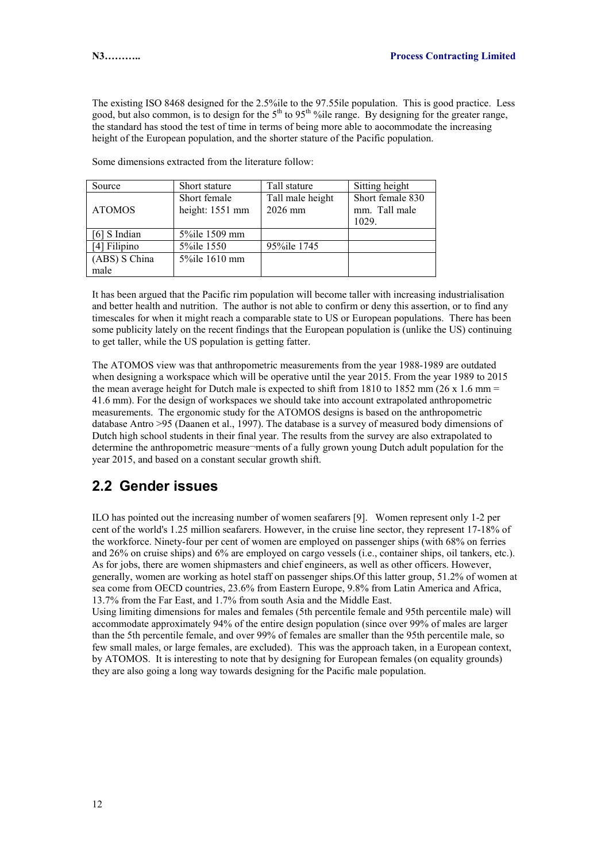The existing ISO 8468 designed for the 2.5%ile to the 97.55ile population. This is good practice. Less good, but also common, is to design for the 5<sup>th</sup> to 95<sup>th o</sup> ile range. By designing for the greater range, the standard has stood the test of time in terms of being more able to aocommodate the increasing height of the European population, and the shorter stature of the Pacific population.

| Source        | Short stature   | Tall stature     | Sitting height   |
|---------------|-----------------|------------------|------------------|
|               | Short female    | Tall male height | Short female 830 |
| <b>ATOMOS</b> | height: 1551 mm | 2026 mm          | mm. Tall male    |
|               |                 |                  | 1029.            |
| [6] S Indian  | 5% ile 1509 mm  |                  |                  |
| [4] Filipino  | 5\% ile 1550    | 95% ile 1745     |                  |
| (ABS) S China | 5%ile 1610 mm   |                  |                  |
| male          |                 |                  |                  |

Some dimensions extracted from the literature follow:

It has been argued that the Pacific rim population will become taller with increasing industrialisation and better health and nutrition. The author is not able to confirm or deny this assertion, or to find any timescales for when it might reach a comparable state to US or European populations. There has been some publicity lately on the recent findings that the European population is (unlike the US) continuing to get taller, while the US population is getting fatter.

The ATOMOS view was that anthropometric measurements from the year 1988-1989 are outdated when designing a workspace which will be operative until the year 2015. From the year 1989 to 2015 the mean average height for Dutch male is expected to shift from 1810 to 1852 mm (26 x 1.6 mm = 41.6 mm). For the design of workspaces we should take into account extrapolated anthropometric measurements. The ergonomic study for the ATOMOS designs is based on the anthropometric database Antro >95 (Daanen et al., 1997). The database is a survey of measured body dimensions of Dutch high school students in their final year. The results from the survey are also extrapolated to determine the anthropometric measure¬ments of a fully grown young Dutch adult population for the year 2015, and based on a constant secular growth shift.

### **2.2 Gender issues**

ILO has pointed out the increasing number of women seafarers [9]. Women represent only 1-2 per cent of the world's 1.25 million seafarers. However, in the cruise line sector, they represent 17-18% of the workforce. Ninety-four per cent of women are employed on passenger ships (with 68% on ferries and 26% on cruise ships) and 6% are employed on cargo vessels (i.e., container ships, oil tankers, etc.). As for jobs, there are women shipmasters and chief engineers, as well as other officers. However, generally, women are working as hotel staff on passenger ships.Of this latter group, 51.2% of women at sea come from OECD countries, 23.6% from Eastern Europe, 9.8% from Latin America and Africa, 13.7% from the Far East, and 1.7% from south Asia and the Middle East.

Using limiting dimensions for males and females (5th percentile female and 95th percentile male) will accommodate approximately 94% of the entire design population (since over 99% of males are larger than the 5th percentile female, and over 99% of females are smaller than the 95th percentile male, so few small males, or large females, are excluded). This was the approach taken, in a European context, by ATOMOS. It is interesting to note that by designing for European females (on equality grounds) they are also going a long way towards designing for the Pacific male population.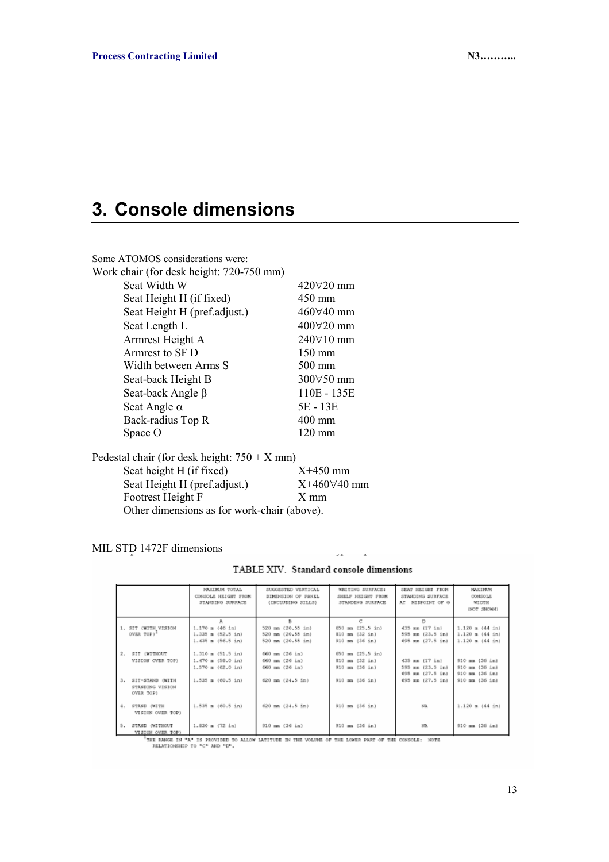# **3. Console dimensions**

| Some ATOMOS considerations were:         |  |
|------------------------------------------|--|
| Work chair (for desk height: 720-750 mm) |  |

| ork chair (for desk height: 720-750 mm) |                    |
|-----------------------------------------|--------------------|
| Seat Width W                            | $420\forall 20$ mm |
| Seat Height H (if fixed)                | 450 mm             |
| Seat Height H (pref.adjust.)            | $460\forall 40$ mm |
| Seat Length L                           | $400\forall 20$ mm |
| Armrest Height A                        | 240∀10 mm          |
| Armrest to SF D                         | $150 \text{ mm}$   |
| Width between Arms S                    | $500$ mm           |
| Seat-back Height B                      | 300∀50 mm          |
| Seat-back Angle $\beta$                 | 110E - 135E        |
| Seat Angle $\alpha$                     | 5E - 13E           |
| Back-radius Top R                       | $400$ mm           |
| Space O                                 | $120 \text{ mm}$   |
|                                         |                    |

| Pedestal chair (for desk height: $750 + X$ mm) |                      |
|------------------------------------------------|----------------------|
| Seat height H (if fixed)                       | $X+450$ mm           |
| Seat Height H (pref.adjust.)                   | $X+460\forall 40$ mm |
| Footrest Height F                              | $X$ mm               |
| Other dimensions as for work-chair (above).    |                      |

MIL STD 1472F dimensions

| TABLE XIV. Standard console dimensions |
|----------------------------------------|
|----------------------------------------|

|                                                       | MAILIMIM TOTAL<br>CONSOLE HEIGHT FROM<br>STANDING SURFACE            | SUGGESTED VERTICAL<br>DIMENSION OF PANEL<br>(INCLUDING SILLS) | WRITING SURFACE:<br>SHELF HEIGHT FROM<br>STANDING SURFACE                                     | SEAT HEIGHT FROM<br>STANDING SURFACE<br>AT MIDPOINT OF G    | MAXIMUM<br>CONSOLE<br><b>WIDTH</b><br>(NOT SHOWN)                             |
|-------------------------------------------------------|----------------------------------------------------------------------|---------------------------------------------------------------|-----------------------------------------------------------------------------------------------|-------------------------------------------------------------|-------------------------------------------------------------------------------|
| 1. SIT (WITH VISION<br>OVER TOP)*                     | $1.170 = (46 in)$<br>$1.335 \pm (52.5 \pm n)$<br>$1.435 = (56.5 in)$ | 520 mm (20.55 in)<br>520 mm (20.55 in)<br>520 mm (20.55 in)   | O<br>$650$ mm $(25.5 \text{ in})$<br>$010$ mm $(32 \text{ in})$<br>$910$ mm $(36 \text{ in})$ | D<br>435 mm (17 in)<br>595 mm (23.5 in)<br>695 mm (27.5 in) | $1.120 = (44 \text{ in})$<br>$1.120 \pm (44 \text{ in})$<br>$1.120 = (44 in)$ |
| 2.<br>SIT (WITHOUT<br>VISION OVER TOP)                | $1.310 = (51.5 in)$<br>$1.470 = (58.0 in)$<br>$1.570 = (62.0 in)$    | 660 mm (26 in)<br>660 mm (26 in)<br>660 mm (26 in)            | $650$ mm $(25.5 \text{ in})$<br>$010$ am $(32 \text{ in})$<br>$910$ mm $(36$ in)              | 435 mm (17 in)<br>595 mm (23.5 in)<br>695 mm (27.5 in)      | 910 mm (36 in)<br>910 mm (36 in)<br>910 mm (36 in)                            |
| 3.<br>SIT-STAND (WITH<br>STANDING VISION<br>OVER TOP) | $1.535 = (60.5 in)$                                                  | $620$ mm $(24.5$ in)                                          | $910$ mm $(36 \text{ in})$                                                                    | 695 mm (27.5 in)                                            | 910 mm (36 in)                                                                |
| STAND (WITH<br>я.<br>VISION OVER TOP)                 | $1.535$ m $(60.5$ in)                                                | $620$ mm $(24.5$ in)                                          | $910 = (36 in)$                                                                               | NA.                                                         | $1.120 = (44 \text{ in})$                                                     |
| STAND (WITHOUT<br>5.<br>VISION OVER TOP)              | $1.830 = (72 \text{ in})$                                            | $910$ mm $(36$ in)                                            | $910$ mm $(36$ in)                                                                            | NA.                                                         | 910 mm (36 in)                                                                |

THE RANGE IN "A" IS PROVIDED TO ALLOW LATITUDE IN THE VOLUME OF THE LOWER FART OF THE CONSOLE: NOTE RELATIONSHIP TO "C" AND "D".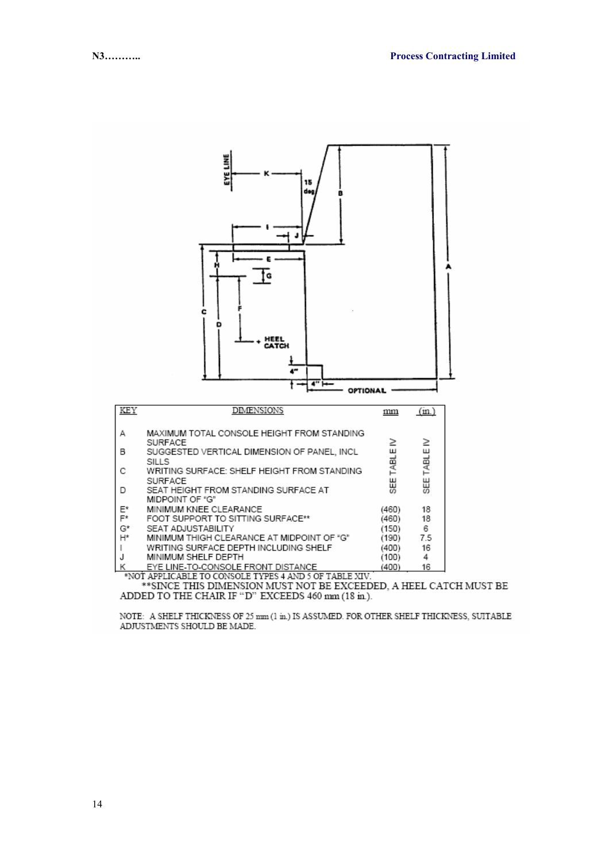

\*\*SINCE THIS DIMENSION MUST NOT BE EXCEEDED, A HEEL CATCH MUST BE ADDED TO THE CHAIR IF "D" EXCEEDS 460 mm (18 in.).

NOTE: A SHELF THICKNESS OF 25 mm (1 in.) IS ASSUMED. FOR OTHER SHELF THICKNESS, SUITABLE ADJUSTMENTS SHOULD BE MADE.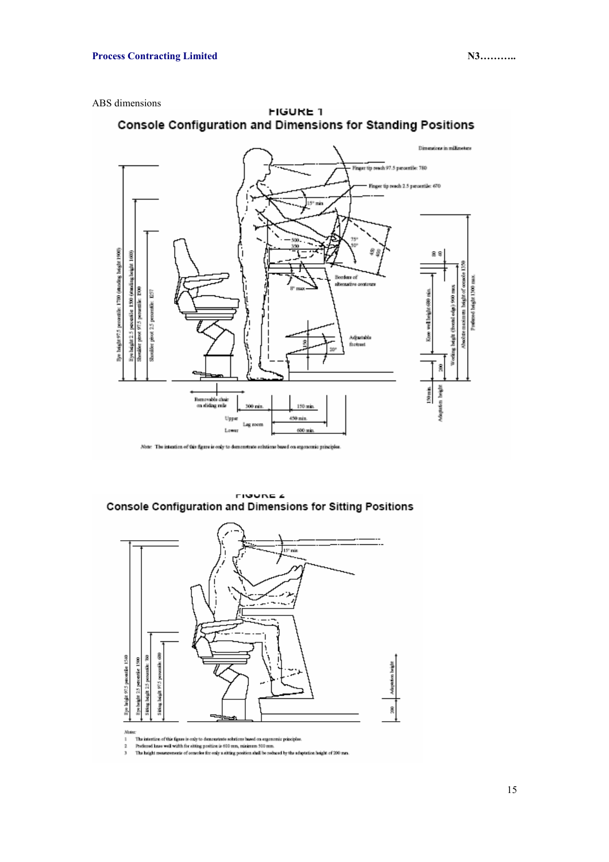



**FIGURE 1** Console Configuration and Dimensions for Standing Positions

**FIGURE 4** Console Configuration and Dimensions for Sitting Positions



 $\overline{2}$ 

The intertion of this figure is only to demonstrate solutions based on exponentic principles.<br>Profound knee well width for eiting position is 600 mm, minimum 500 mm.<br>The height measurements of consoles for only a sitting p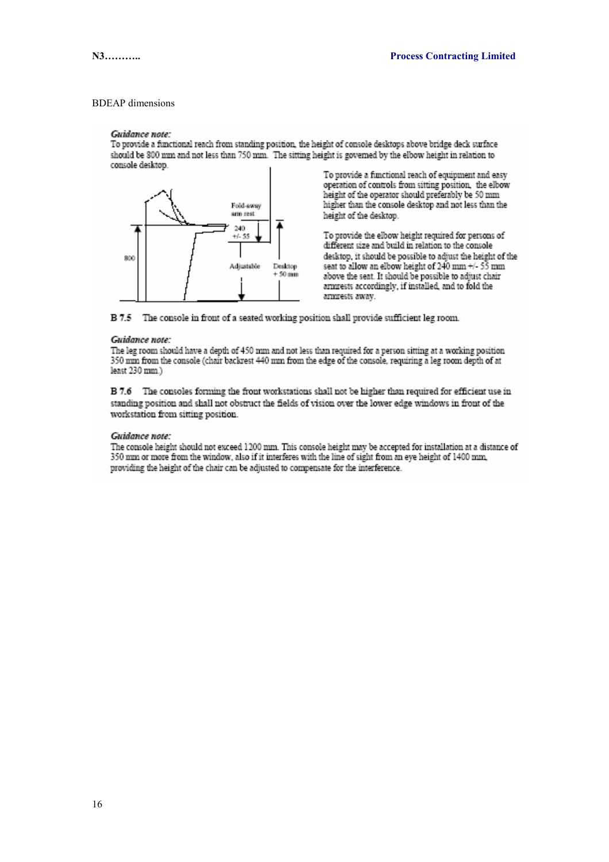#### **BDEAP** dimensions

#### Guidance note:

To provide a functional reach from standing position, the height of console desktops above bridge deck surface should be 800 mm and not less than 750 mm. The sitting height is governed by the elbow height in relation to console desktop.



To provide a functional reach of equipment and easy operation of controls from sitting position, the elbow height of the operator should preferably be 50 mm higher than the console desktop and not less than the height of the desktop.

To provide the elbow height required for persons of different size and build in relation to the console desktop, it should be possible to adjust the height of the seat to allow an elbow height of 240 mm +/- 55 mm above the seat. It should be possible to adjust chair armrests accordingly, if installed, and to fold the ammests away.



#### Guidance note:

The leg room should have a depth of 450 mm and not less than required for a person sitting at a working position 350 nm from the console (chair backrest 440 nm from the edge of the console, requiring a leg room depth of at least 230 mm.)

B 7.6 The consoles forming the front workstations shall not be higher than required for efficient use in standing position and shall not obstruct the fields of vision over the lower edge windows in front of the workstation from sitting position.

#### Guidance note:

The console height should not exceed 1200 mm. This console height may be accepted for installation at a distance of 350 mm or more from the window, also if it interferes with the line of sight from an eve height of 1400 mm. providing the height of the chair can be adjusted to compensate for the interference.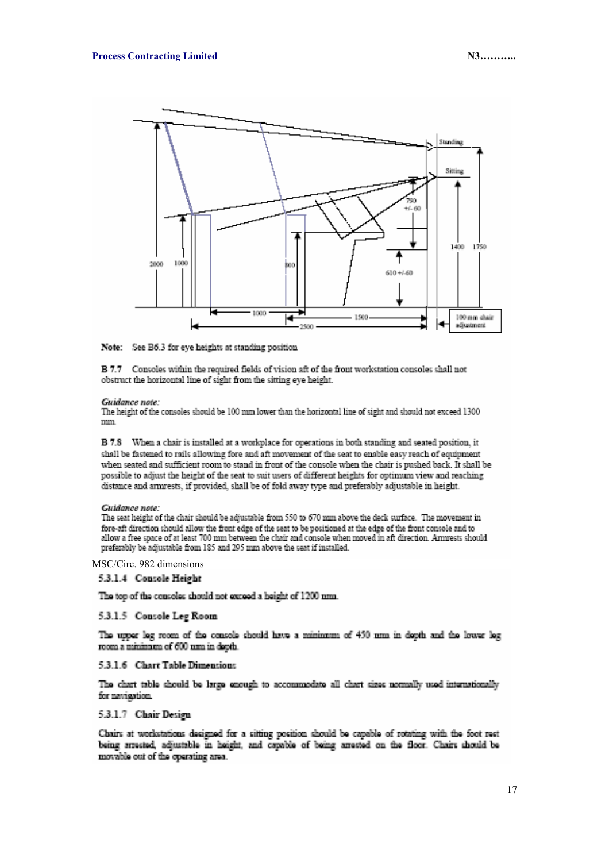

Note: See B6.3 for eye heights at standing position

B 7.7 Consoles within the required fields of vision aft of the front workstation consoles shall not obstruct the horizontal line of sight from the sitting eye height.

#### Guidance note:

The height of the consoles should be 100 mm lower than the horizontal line of sight and should not exceed 1300 mm.

B 7.8 When a chair is installed at a workplace for operations in both standing and seated position, it shall be fastened to rails allowing fore and aft movement of the seat to enable easy reach of equipment when seated and sufficient room to stand in front of the console when the chair is pushed back. It shall be possible to adjust the height of the seat to suit users of different heights for optimum view and reaching distance and ammests, if provided, shall be of fold away type and preferably adjustable in height.

#### Guidance note:

The seat height of the chair should be adjustable from 550 to 670 mm above the deck surface. The movement in fore-aft direction should allow the front edge of the seat to be positioned at the edge of the front console and to allow a free space of at least 700 mm between the chair and console when moved in aft direction. Armrests should preferably be adjustable from 185 and 295 mm above the seat if installed.

MSC/Circ. 982 dimensions

#### 5.3.1.4 Console Height

The top of the consoles should not exceed a beight of 1200 nm.

#### 5.3.1.5 Console Leg Room

The upper leg room of the console should have a minimum of 450 nm in depth and the lower leg room a minimum of 600 nm in dooth.

#### 5.3.1.6 Chart Table Dimensions

The chart table should be large enough to accommodate all chart sizes normally used internationally for navigation.

#### 5.3.1.7 Chair Design

Chairs at workstations designed for a sitting position should be capable of rotating with the foot rest being arrested, adjustable in height, and capable of being arrested on the floor. Chairs should be movable out of the operating area.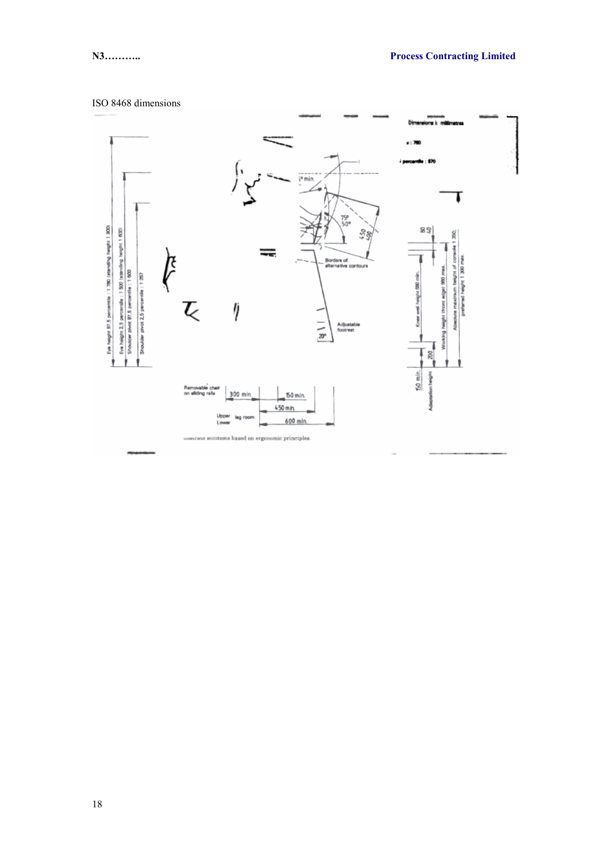### ISO 8468 dimensions

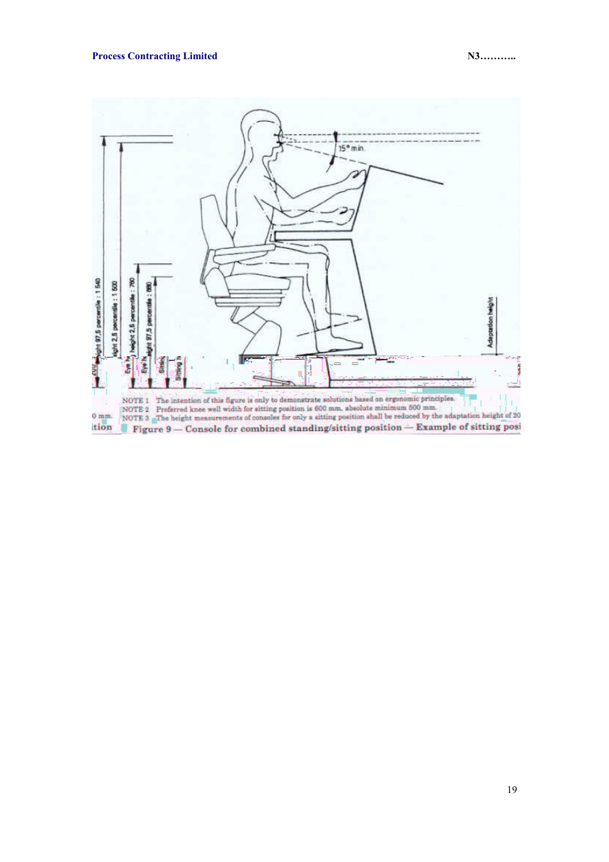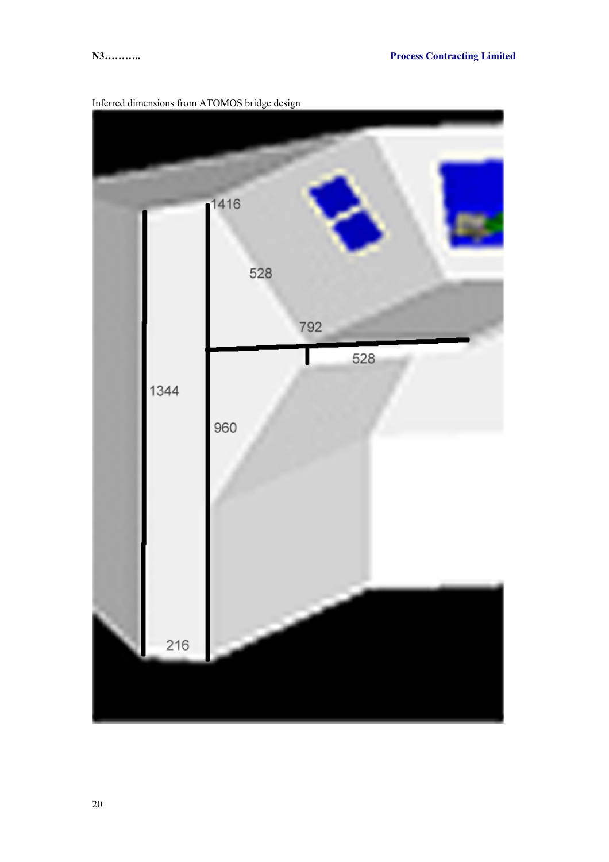

Inferred dimensions from ATOMOS bridge design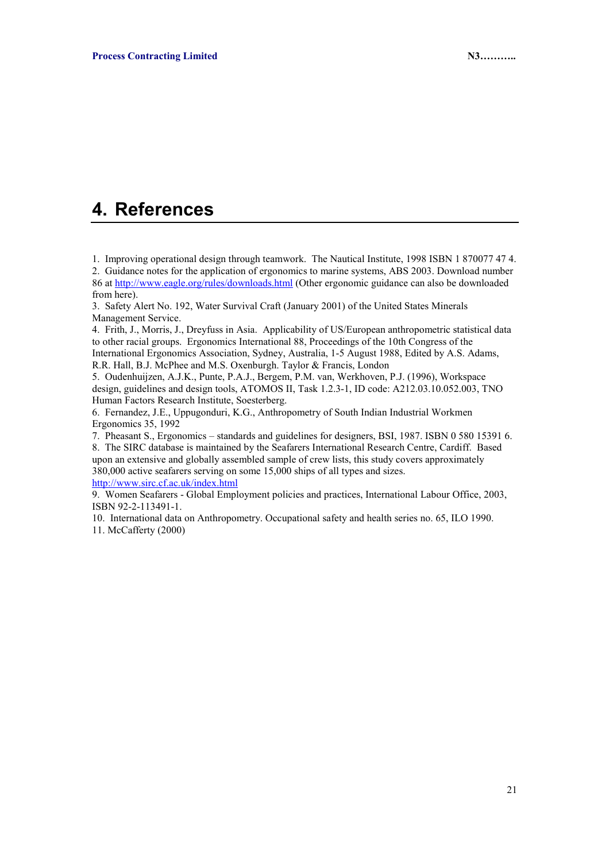## **4. References**

1. Improving operational design through teamwork. The Nautical Institute, 1998 ISBN 1 870077 47 4. 2. Guidance notes for the application of ergonomics to marine systems, ABS 2003. Download number 86 at http://www.eagle.org/rules/downloads.html (Other ergonomic guidance can also be downloaded from here).

3. Safety Alert No. 192, Water Survival Craft (January 2001) of the United States Minerals Management Service.

4. Frith, J., Morris, J., Dreyfuss in Asia. Applicability of US/European anthropometric statistical data to other racial groups. Ergonomics International 88, Proceedings of the 10th Congress of the International Ergonomics Association, Sydney, Australia, 1-5 August 1988, Edited by A.S. Adams, R.R. Hall, B.J. McPhee and M.S. Oxenburgh. Taylor & Francis, London

5. Oudenhuijzen, A.J.K., Punte, P.A.J., Bergem, P.M. van, Werkhoven, P.J. (1996), Workspace design, guidelines and design tools, ATOMOS II, Task 1.2.3-1, ID code: A212.03.10.052.003, TNO Human Factors Research Institute, Soesterberg.

6. Fernandez, J.E., Uppugonduri, K.G., Anthropometry of South Indian Industrial Workmen Ergonomics 35, 1992

7. Pheasant S., Ergonomics – standards and guidelines for designers, BSI, 1987. ISBN 0 580 15391 6. 8. The SIRC database is maintained by the Seafarers International Research Centre, Cardiff. Based upon an extensive and globally assembled sample of crew lists, this study covers approximately 380,000 active seafarers serving on some 15,000 ships of all types and sizes.

http://www.sirc.cf.ac.uk/index.html

9. Women Seafarers - Global Employment policies and practices, International Labour Office, 2003, ISBN 92-2-113491-1.

10. International data on Anthropometry. Occupational safety and health series no. 65, ILO 1990. 11. McCafferty (2000)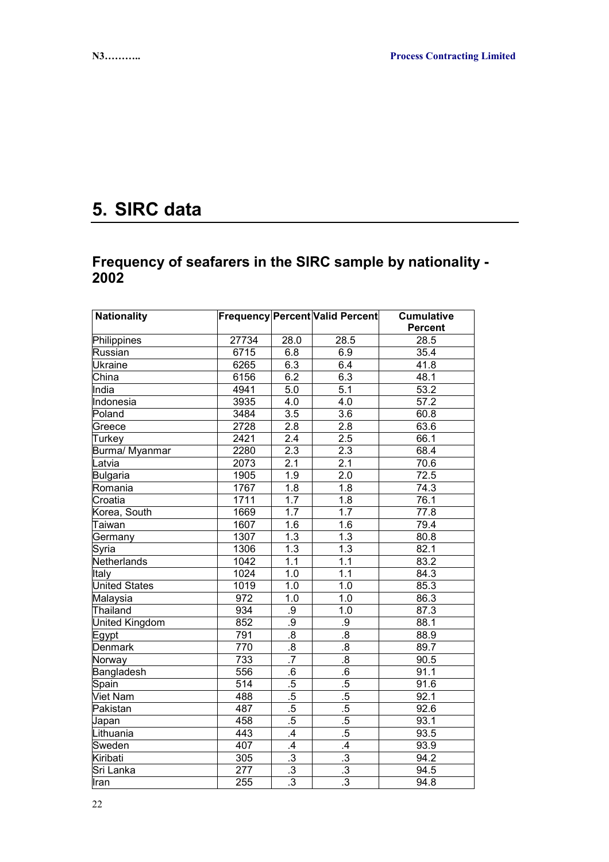# **5. SIRC data**

## **Frequency of seafarers in the SIRC sample by nationality - 2002**

| <b>Nationality</b>        |                  |                  | Frequency Percent Valid Percent | <b>Cumulative</b> |
|---------------------------|------------------|------------------|---------------------------------|-------------------|
|                           |                  |                  |                                 | <b>Percent</b>    |
| Philippines               | 27734            | 28.0             | 28.5                            | 28.5              |
| Russian                   | 6715             | 6.8              | 6.9                             | 35.4              |
| <b>Ukraine</b>            | 6265             | 6.3              | 6.4                             | 41.8              |
| $\overline{\text{China}}$ | 6156             | 6.2              | 6.3                             | 48.1              |
| India                     | 4941             | 5.0              | $\overline{5.1}$                | 53.2              |
| Indonesia                 | 3935             | 4.0              | 4.0                             | 57.2              |
| Poland                    | 3484             | $\overline{3.5}$ | $\overline{3.6}$                | 60.8              |
| Greece                    | 2728             | $\overline{2.8}$ | $\overline{2.8}$                | 63.6              |
| Turkey                    | 2421             | 2.4              | 2.5                             | 66.1              |
| Burma/ Myanmar            | 2280             | 2.3              | 2.3                             | 68.4              |
| Latvia                    | 2073             | 2.1              | 2.1                             | 70.6              |
| Bulgaria                  | 1905             | 1.9              | $\overline{2.0}$                | 72.5              |
| Romania                   | 1767             | $\overline{1.8}$ | $\overline{1.8}$                | 74.3              |
| Croatia                   | 1711             | 1.7              | 1.8                             | 76.1              |
| Korea, South              | 1669             | 1.7              | 1.7                             | 77.8              |
| Taiwan                    | 1607             | 1.6              | 1.6                             | 79.4              |
| Germany                   | 1307             | 1.3              | 1.3                             | 80.8              |
| Syria                     | 1306             | 1.3              | 1.3                             | 82.1              |
| Netherlands               | 1042             | $\overline{1.1}$ | 1.1                             | 83.2              |
| Italy                     | 1024             | 1.0              | 1.1                             | 84.3              |
| <b>United States</b>      | 1019             | 1.0              | 1.0                             | 85.3              |
| Malaysia                  | 972              | 1.0              | 1.0                             | 86.3              |
| Thailand                  | 934              | .9               | $\overline{1.0}$                | 87.3              |
| United Kingdom            | 852              | .9               | $9$                             | 88.1              |
| Egypt                     | 791              | $\overline{8}$   | $\overline{8}$                  | 88.9              |
| <b>Denmark</b>            | 770              | $\overline{.8}$  | $\overline{.8}$                 | 89.7              |
| Norway                    | 733              | $\overline{.7}$  | $\overline{8}$                  | 90.5              |
| Bangladesh                | 556              | $\overline{6}$   | $\overline{6}$                  | 91.1              |
| Spain                     | 514              | .5               | $.5\,$                          | 91.6              |
| <b>Viet Nam</b>           | 488              | .5               | .5                              | 92.1              |
| Pakistan                  | 487              | $.5\,$           | $.5\,$                          | 92.6              |
| Japan                     | 458              | .5               | .5                              | 93.1              |
| Lithuania                 | 443              | $\overline{.4}$  | .5                              | 93.5              |
| Sweden                    | 407              | $\mathcal{A}$    | $\mathcal{A}$                   | 93.9              |
| Kiribati                  | 305              | $\overline{.3}$  | $\overline{.3}$                 | 94.2              |
| Sri Lanka                 | $\overline{277}$ | $\overline{.3}$  | $\overline{.3}$                 | 94.5              |
| Iran                      | 255              | $\overline{.3}$  | $\overline{.3}$                 | 94.8              |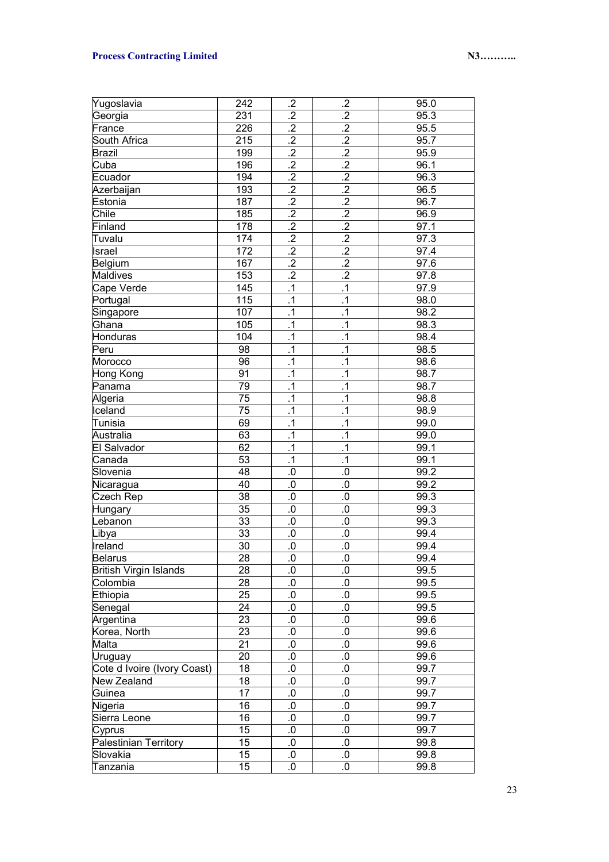### **Process Contracting Limited N3………. N3……….**

| Yugoslavia                    | 242             | .2              | .2               | 95.0              |
|-------------------------------|-----------------|-----------------|------------------|-------------------|
| Georgia                       | 231             | $\overline{.2}$ | $\overline{.2}$  | 95.3              |
| France                        | 226             | $\overline{.2}$ | $\overline{.2}$  | 95.5              |
| South Africa                  | 215             | $\overline{.2}$ | $\overline{.2}$  | 95.7              |
| <b>Brazil</b>                 | 199             | $\overline{.2}$ | $\overline{.2}$  | 95.9              |
| Cuba                          | 196             | $\overline{.2}$ | $\overline{.2}$  | 96.1              |
| Ecuador                       | 194             | $\overline{.2}$ | $\overline{.2}$  | 96.3              |
| Azerbaijan                    | 193             | $\overline{.2}$ | $\overline{.2}$  | 96.5              |
| Estonia                       | 187             | $\overline{.2}$ | $\overline{.2}$  | 96.7              |
| Chile                         | 185             | $\overline{.2}$ | $\overline{.2}$  | 96.9              |
| Finland                       | 178             | $\overline{.2}$ | $\overline{.2}$  | 97.1              |
| Tuvalu                        | 174             | $\overline{.2}$ | $\overline{.2}$  | 97.3              |
| Israel                        | 172             | $\overline{.2}$ | $\overline{.2}$  | 97.4              |
| Belgium                       | 167             | $\overline{.2}$ | $\overline{.2}$  | 97.6              |
| Maldives                      | 153             | $\overline{.2}$ | $\overline{.2}$  | 97.8              |
| Cape Verde                    | 145             | $\cdot$ 1       | $\cdot$ 1        | 97.9              |
| Portugal                      | 115             | $\cdot$ 1       | $\cdot$ 1        | 98.0              |
| Singapore                     | 107             | $\overline{.1}$ | $\cdot$ 1        | 98.2              |
| Ghana                         | 105             | $\overline{.1}$ | $\cdot$ 1        | 98.3              |
| Honduras                      | 104             | $\overline{.1}$ | $\cdot$ 1        | 98.4              |
| Peru                          | 98              | $\overline{.1}$ | $\cdot$ 1        | 98.5              |
| Morocco                       | 96              | $\overline{.1}$ | $\cdot$ 1        | 98.6              |
| Hong Kong                     | 91              | $\overline{.1}$ | $\cdot$ 1        | 98.7              |
| Panama                        | 79              | $\overline{.1}$ | $\cdot$ 1        | 98.7              |
| Algeria                       | 75              | $\overline{.1}$ | $\cdot$ 1        | 98.8              |
| Iceland                       | 75              | $\overline{.1}$ | $\cdot$ 1        | 98.9              |
| Tunisia                       | 69              | $\overline{.1}$ | $\cdot$ 1        | 99.0              |
| Australia                     | 63              | $\overline{.1}$ | $\cdot$ 1        | 99.0              |
| El Salvador                   | 62              | $\overline{.1}$ | $\cdot$ 1        | 99.1              |
| Canada                        | 53              | $\overline{.1}$ | $\cdot$ 1        | 99.1              |
| Slovenia                      | 48              | 0.              | 0.               | 99.2              |
| Nicaragua                     | 40              | $0.$            | $0.$             | 99.2              |
| Czech Rep                     | 38              | $0.$            | $0.$             | 99.3              |
| Hungary                       | 35              | $0.$            | $0.$             | 99.3              |
| Lebanon                       | 33              | $0.$            | $0.$             | 99.3              |
| Libya                         | 33              | 0.              | $0.$             | 99.4              |
| Ireland                       | 30              | $0.$            | $0 \,$           | 99.4              |
| <b>Belarus</b>                | $\overline{28}$ | $\overline{0}$  | $\overline{0}$ . | 99.4              |
| <b>British Virgin Islands</b> | 28              | 0.              | 0.               | 99.5              |
| Colombia                      | 28              | 0.              | $0.5\,$          | $\overline{99.5}$ |
| Ethiopia                      | 25              | 0.              | $\boldsymbol{0}$ | 99.5              |
| Senegal                       | 24              | $0.$            | $\boldsymbol{0}$ | 99.5              |
| Argentina                     | 23              | $0.$            | $0.$             | 99.6              |
| Korea, North                  | 23              | $0.$            | $0.$             | 99.6              |
| Malta                         | 21              | $0.$            | $0.$             | 99.6              |
| Uruguay                       | 20              | $0.$            | $0.$             | 99.6              |
| Cote d Ivoire (Ivory Coast)   | 18              | $0.$            | $0.$             | 99.7              |
| New Zealand                   | 18              | $0.$            | $0.$             | 99.7              |
| Guinea                        | 17              | $0.$            | $0.$             | 99.7              |
| Nigeria                       | 16              | $0.$            | $0.$             | 99.7              |
| Sierra Leone                  | 16              | $0.$            | $0.$             | 99.7              |
| Cyprus                        | 15              | $0.$            | 0.               | 99.7              |
| Palestinian Territory         | 15              | 0.              | $0.5\,$          | 99.8              |
| Slovakia                      | 15              | 0.              | $\boldsymbol{0}$ | 99.8              |
| Tanzania                      | 15              | 0.              | $\boldsymbol{0}$ | 99.8              |
|                               |                 |                 |                  |                   |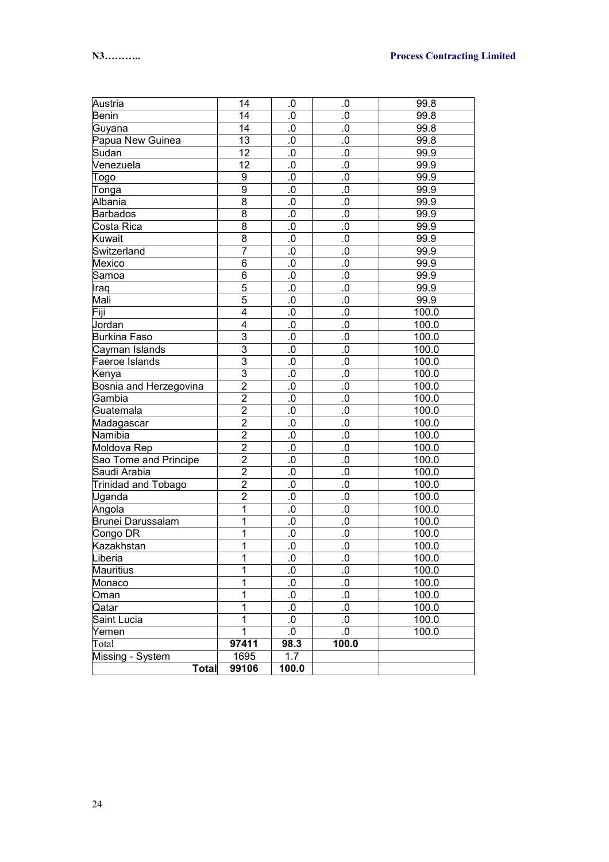| Austria                | 14             | 0.0       | .0        | 99.8  |
|------------------------|----------------|-----------|-----------|-------|
| Benin                  | 14             | $0.$      | $0.5\,$   | 99.8  |
| Guyana                 | 14             | $0 \,$    | $\cdot 0$ | 99.8  |
| Papua New Guinea       | 13             | $0 \,$    | $\cdot 0$ | 99.8  |
| Sudan                  | 12             | $0 \,$    | $\cdot 0$ | 99.9  |
| Venezuela              | 12             | $0 \,$    | $\cdot 0$ | 99.9  |
| Togo                   | 9              | $0 \,$    | $\cdot 0$ | 99.9  |
| Tonga                  | 9              | $0 \,$    | $\cdot 0$ | 99.9  |
| Albania                | $\overline{8}$ | $0 \,$    | $\cdot 0$ | 99.9  |
| <b>Barbados</b>        | $\overline{8}$ | $0 \,$    | $\cdot 0$ | 99.9  |
| Costa Rica             | $\overline{8}$ | $0 \,$    | $\cdot 0$ | 99.9  |
| Kuwait                 | $\overline{8}$ | $0 \,$    | $\cdot 0$ | 99.9  |
| Switzerland            | 7              | $0 \,$    | $\cdot 0$ | 99.9  |
| Mexico                 | 6              | $0 \,$    | $\cdot 0$ | 99.9  |
| Samoa                  | 6              | $0 \,$    | $\cdot 0$ | 99.9  |
| Iraq                   | 5              | $0 \,$    | $\cdot 0$ | 99.9  |
| Mali                   | $\overline{5}$ | $0 \,$    | $\cdot 0$ | 99.9  |
| Fiji                   | 4              | $0.$      | $\cdot 0$ | 100.0 |
| Jordan                 | 4              | $0.$      | $\cdot 0$ | 100.0 |
| <b>Burkina Faso</b>    | 3              | $0.$      | $\cdot 0$ | 100.0 |
| Cayman Islands         | $\overline{3}$ | $0.$      | $\cdot 0$ | 100.0 |
| Faeroe Islands         | $\overline{3}$ | $0.$      | $\cdot 0$ | 100.0 |
| Kenya                  | $\overline{3}$ | $0.$      | $\cdot 0$ | 100.0 |
| Bosnia and Herzegovina | $\overline{2}$ | $0.$      | $\cdot 0$ | 100.0 |
| Gambia                 | $\overline{2}$ | $0.$      | $\cdot 0$ | 100.0 |
| Guatemala              | $\overline{2}$ | $0.$      | $\cdot 0$ | 100.0 |
| Madagascar             | $\overline{2}$ | $0.$      | $\cdot 0$ | 100.0 |
| Namibia                | $\overline{2}$ | $0.$      | $\cdot 0$ | 100.0 |
| Moldova Rep            | $\overline{2}$ | $0.$      | $\cdot 0$ | 100.0 |
| Sao Tome and Principe  | $\overline{2}$ | $0.$      | $\cdot 0$ | 100.0 |
| Saudi Arabia           | $\overline{2}$ | $0.$      | $\cdot 0$ | 100.0 |
| Trinidad and Tobago    | $\overline{2}$ | 0.        | $\cdot 0$ | 100.0 |
| Uganda                 | $\overline{c}$ | 0.        | $\cdot 0$ | 100.0 |
| Angola                 | 1              | 0.        | $\cdot 0$ | 100.0 |
| Brunei Darussalam      | 1              | $0.$      | $\cdot 0$ | 100.0 |
| Congo DR               | 1              | $0 \,$    | $\cdot 0$ | 100.0 |
| Kazakhstan             | 1              | $0 \,$    | $\cdot 0$ | 100.0 |
| Liberia                | 1              | .0        | .0        | 100.0 |
| <b>Mauritius</b>       | 1              | 0.        | $\cdot 0$ | 100.0 |
| Monaco                 | 1              | $\cdot 0$ | $\cdot 0$ | 100.0 |
| Oman                   | 1              | $\cdot 0$ | $\cdot 0$ | 100.0 |
| Qatar                  | 1              | $\cdot 0$ | $\cdot 0$ | 100.0 |
| Saint Lucia            | 1              | $0.$      | $\cdot 0$ | 100.0 |
| Yemen                  | 1              | $0.5$     | $\cdot 0$ | 100.0 |
| Total                  | 97411          | 98.3      | 100.0     |       |
| Missing - System       | 1695           | 1.7       |           |       |
| Total                  | 99106          | 100.0     |           |       |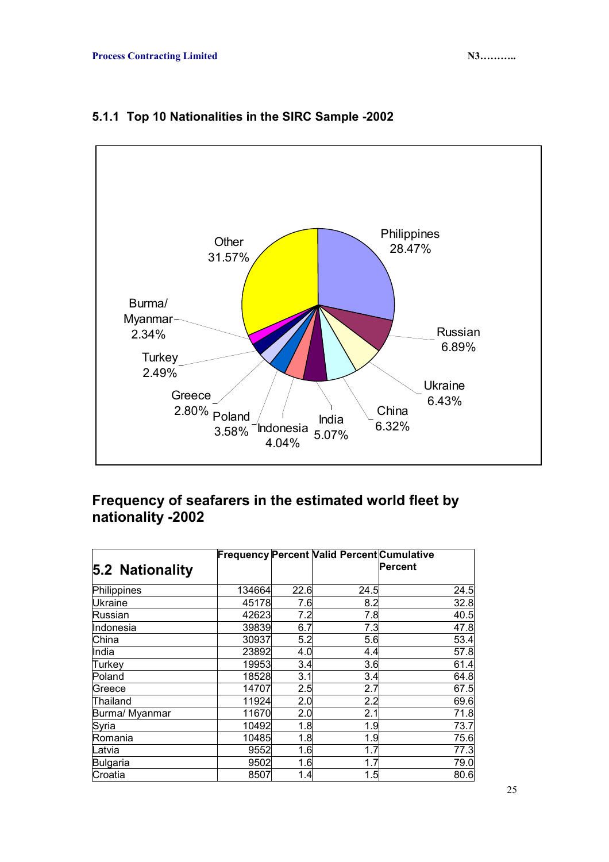

### **5.1.1 Top 10 Nationalities in the SIRC Sample -2002**

## **Frequency of seafarers in the estimated world fleet by nationality -2002**

|                 |        |      | <b>Frequency Percent Valid Percent Cumulative</b> |          |
|-----------------|--------|------|---------------------------------------------------|----------|
| 5.2 Nationality |        |      |                                                   | lPercent |
| Philippines     | 134664 | 22.6 | 24.5                                              | 24.5     |
| <b>Ukraine</b>  | 45178  | 7.6  | 8.2                                               | 32.8     |
| Russian         | 42623  | 7.2  | 7.8                                               | 40.5     |
| Indonesia       | 39839  | 6.7  | 7.3                                               | 47.8     |
| China           | 30937  | 5.2  | 5.6                                               | 53.4     |
| India           | 23892  | 4.0  | 4.4                                               | 57.8     |
| Turkey          | 19953  | 3.4  | 3.6                                               | 61.4     |
| Poland          | 18528  | 3.1  | 3.4                                               | 64.8     |
| Greece          | 14707  | 2.5  | 2.7                                               | 67.5     |
| Thailand        | 11924  | 2.0  | 2.2                                               | 69.6     |
| Burma/ Myanmar  | 11670  | 2.0  | 2.1                                               | 71.8     |
| Syria           | 10492  | 1.8  | 1.9                                               | 73.7     |
| Romania         | 10485  | 1.8  | 1.9                                               | 75.6     |
| Latvia          | 9552   | 1.6  | 1.7                                               | 77.3     |
| Bulgaria        | 9502   | 1.6  | 1.7                                               | 79.0     |
| Croatia         | 8507   | 1.4  | 1.5                                               | 80.6     |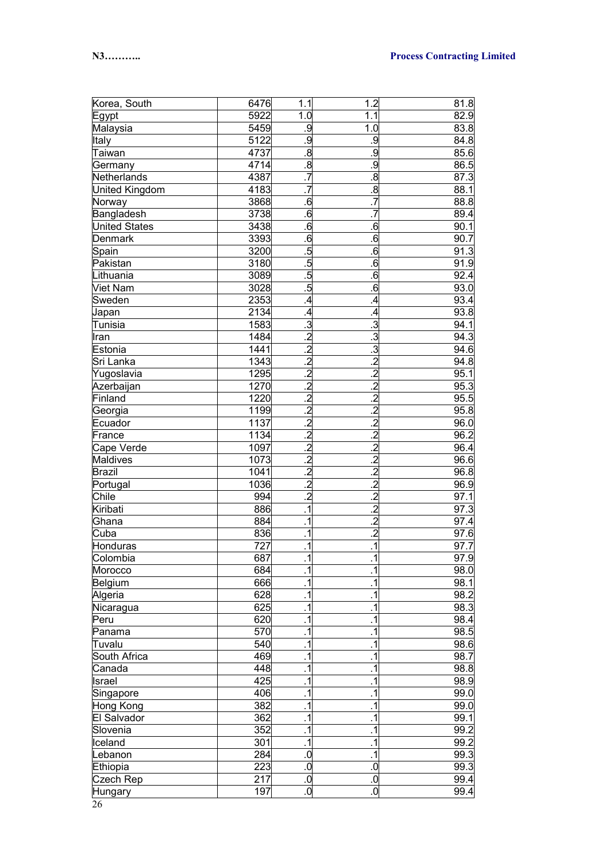| Korea, South          | 6476 | 1.1                      | 1.2                     | 81.8 |
|-----------------------|------|--------------------------|-------------------------|------|
| Egypt                 | 5922 | 1.0                      | 1.1                     | 82.9 |
| Malaysia              | 5459 | .9                       | 1.0                     | 83.8 |
| Italy                 | 5122 | .9                       | .9                      | 84.8 |
| Taiwan                | 4737 | $\overline{8}$           | ف                       | 85.6 |
| Germany               | 4714 | $\boldsymbol{.8}$        | ف                       | 86.5 |
| Netherlands           | 4387 | $\overline{.7}$          | $\overline{\mathbf{8}}$ | 87.3 |
| <b>United Kingdom</b> | 4183 |                          | $\overline{\infty}$     | 88.1 |
| Norway                | 3868 | .6                       | $\overline{.7}$         | 88.8 |
| Bangladesh            | 3738 | .6                       | $\overline{.7}$         | 89.4 |
| <b>United States</b>  | 3438 | .6                       | .6                      | 90.1 |
| Denmark               | 3393 | .6                       | .6                      | 90.7 |
| Spain                 | 3200 | $\overline{5}$           | .6                      | 91.3 |
| Pakistan              | 3180 | .5                       | .6                      | 91.9 |
| Lithuania             | 3089 | .5                       | .6                      | 92.4 |
| <b>Viet Nam</b>       | 3028 | .5                       | .6                      | 93.0 |
| Sweden                | 2353 | $\overline{.4}$          | $\overline{A}$          | 93.4 |
| Japan                 | 2134 | $\cdot$                  | $\overline{A}$          | 93.8 |
| Tunisia               | 1583 | $\overline{\omega}$      | د:                      | 94.1 |
| Iran                  | 1484 | $\overline{.2}$          | .3                      | 94.3 |
| Estonia               | 1441 | $\overline{.2}$          | .3                      | 94.6 |
| Sri Lanka             | 1343 | $\overline{.2}$          | $\overline{.2}$         | 94.8 |
| Yugoslavia            | 1295 | $\overline{.2}$          | $\overline{c}$          | 95.1 |
| Azerbaijan            | 1270 | $\overline{.2}$          | $\overline{c}$          | 95.3 |
| Finland               | 1220 | $\overline{.2}$          | $\overline{c}$          | 95.5 |
| Georgia               | 1199 | $\overline{.2}$          | $\overline{c}$          | 95.8 |
| Ecuador               | 1137 | $\overline{.2}$          | $\overline{c}$          | 96.0 |
| France                | 1134 | $\overline{.2}$          | $\overline{c}$          | 96.2 |
| Cape Verde            | 1097 | $\overline{.2}$          | $\overline{c}$          | 96.4 |
| Maldives              | 1073 | $\overline{.2}$          | $\overline{c}$          | 96.6 |
| <b>Brazil</b>         | 1041 | $\overline{.2}$          | $\overline{c}$          | 96.8 |
| Portugal              | 1036 | $\overline{.2}$          | $\overline{c}$          | 96.9 |
| Chile                 | 994  | $\overline{.2}$          | $\overline{c}$          | 97.1 |
| Kiribati              | 886  | $\overline{.1}$          | $\overline{c}$          | 97.3 |
| Ghana                 | 884  | $\overline{.1}$          | $\overline{c}$          | 97.4 |
| Cuba                  | 836  | $\overline{.1}$          | $\overline{.2}$         | 97.6 |
| Honduras              | 727  | $\overline{\phantom{0}}$ | $\overline{.1}$         | 97.7 |
| Colombia              | 687  | $\overline{.1}$          | $\overline{.1}$         | 97.9 |
| Morocco               | 684  | $\cdot$ 1                | $\overline{.1}$         | 98.0 |
| Belgium               | 666  | $\cdot$ 1                | $\cdot$ 1               | 98.1 |
| Algeria               | 628  | $\cdot$ 1                | $\cdot$ 1               | 98.2 |
| Nicaragua             | 625  | $\cdot$ 1                | $\overline{.1}$         | 98.3 |
| Peru                  | 620  | $\cdot$ 1                | $\overline{.1}$         | 98.4 |
| Panama                | 570  | $\cdot$ 1                | $\overline{.1}$         | 98.5 |
| Tuvalu                | 540  | $\cdot$ 1                | $\overline{.1}$         | 98.6 |
| South Africa          | 469  | $\cdot$ 1                | $\overline{.1}$         | 98.7 |
| Canada                | 448  | $\cdot$ 1                | $\overline{.1}$         | 98.8 |
| Israel                | 425  | $\cdot$ 1                | $\overline{.1}$         | 98.9 |
| Singapore             | 406  | $\cdot$ 1                | $\overline{.1}$         | 99.0 |
| Hong Kong             | 382  | $\cdot$ 1                | $\overline{.1}$         | 99.0 |
| El Salvador           | 362  | $\cdot$ 1                | $\overline{.1}$         | 99.1 |
| Slovenia              | 352  | $\cdot$ 1                | $\overline{.1}$         | 99.2 |
| Iceland               | 301  | $\cdot$ 1                | $\overline{.1}$         | 99.2 |
| Lebanon               | 284  | $0.5$                    | $\overline{.1}$         | 99.3 |
| Ethiopia              | 223  | .0                       | .0                      | 99.3 |
| Czech Rep             | 217  | .0                       | .0                      | 99.4 |
| Hungary               | 197  | 0.                       | $\overline{0}$          | 99.4 |

26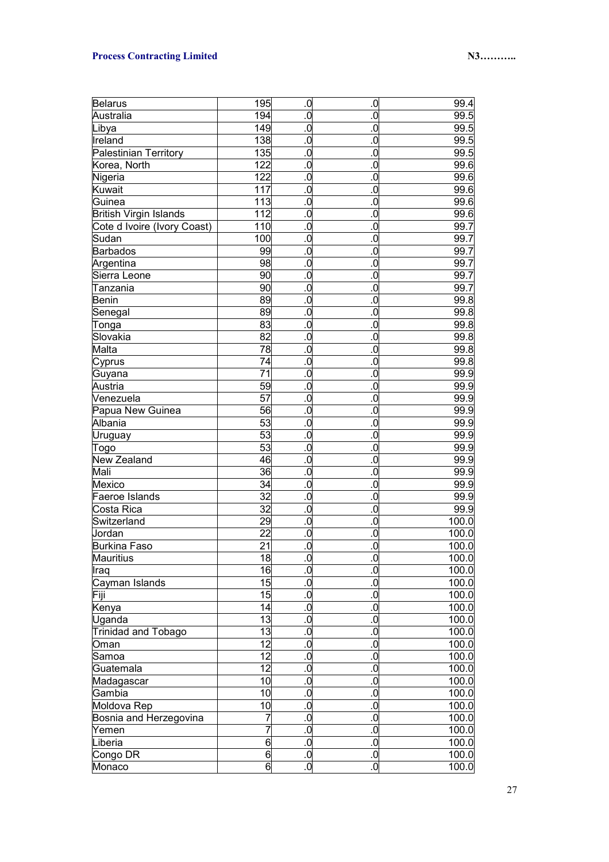### **Process Contracting Limited N3………. N3……….**

| <b>Belarus</b>                | 195                   | $\overline{\mathbf{0}}$   | 0.                      | 99.4               |
|-------------------------------|-----------------------|---------------------------|-------------------------|--------------------|
| Australia                     | 194                   | $\overline{0}$            | .o                      | 99.5               |
| Libya                         | 149                   | 0.                        | .0                      | 99.5               |
| Ireland                       | 138                   | 0.                        | .0                      | 99.5               |
| Palestinian Territory         | 135                   | 0.                        | $\overline{0}$          | 99.5               |
| Korea, North                  | 122                   | $\overline{0}$            | $\overline{0}$          | 99.6               |
| Nigeria                       | 122                   | $\overline{0}$            | $\overline{0}$          | 99.6               |
| <b>Kuwait</b>                 | 117                   | $\overline{0}$            | $\overline{0}$          | $\overline{99.6}$  |
| Guinea                        | 113                   | $\overline{0}$            | $\overline{0}$          | $\overline{99.6}$  |
| <b>British Virgin Islands</b> | 112                   | $\overline{0}$            | $\overline{0}$          | $\overline{99.6}$  |
| Cote d Ivoire (Ivory Coast)   | 110                   | $\overline{0}$            | $\overline{0}$          | 99.7               |
| Sudan                         | 100                   | $\overline{0}$            | $\overline{0}$          | 99.7               |
| Barbados                      | 99                    | $\overline{0}$            | $\overline{0}$          | 99.7               |
| Argentina                     | 98                    | $\overline{0}$            | $\overline{0}$          | 99.7               |
| Sierra Leone                  | 90                    | $\overline{0}$            | $\overline{0}$          | 99.7               |
| Tanzania                      | 90                    | $\overline{0}$            | $\overline{0}$          | 99.7               |
| <b>Benin</b>                  | 89                    | $\overline{0}$            | $\overline{0}$          | 99.8               |
| Senegal                       | 89                    | 0.                        | $\overline{0}$          | 99.8               |
| Tonga                         | 83                    | $\overline{0}$            | $\overline{0}$          | 99.8               |
| Slovakia                      | 82                    | $\overline{0}$            | $\overline{0}$          | 99.8               |
| Malta                         | 78                    | 0.                        | $\overline{0}$          | 99.8               |
| Cyprus                        | 74                    | 0.                        | $\overline{0}$          | 99.8               |
| Guyana                        | 71                    | 0.                        | $\overline{0}$          | 99.9               |
| Austria                       | 59                    | 0.                        | $\overline{0}$          | 99.9               |
| Venezuela                     | 57                    | 0.                        | $\overline{0}$          | 99.9               |
| Papua New Guinea              | 56                    | 0.                        | $\overline{0}$          | 99.9               |
| Albania                       | 53                    | 0.                        | $\overline{0}$          | 99.9               |
| Uruguay                       | 53                    | 0.                        | $\overline{0}$          | 99.9               |
| Togo                          | 53                    | 0.                        | $\overline{0}$          | 99.9               |
| New Zealand                   | 46                    | 0.                        | $\overline{0}$          | 99.9               |
| Mali                          | 36                    | 0.                        | $\overline{0}$          | 99.9               |
| Mexico                        | 34                    | 0.                        | $\overline{0}$          | 99.9               |
| Faeroe Islands                | 32                    | 0.                        | $\overline{0}$          | 99.9               |
| Costa Rica                    | 32                    | 0.                        | $\overline{0}$          | 99.9               |
| Switzerland                   | 29                    | 0.                        | $\overline{0}$          | 100.0              |
| Jordan                        | 22                    | 0.                        | .0                      | $\overline{1}00.0$ |
| Burkina Faso                  | 21                    | $\overline{0}$            | .0                      | 100.0              |
| <b>Mauritius</b>              | 18                    | $\overline{0}$            | $\overline{\mathbf{0}}$ | 100.0              |
|                               | 16                    | ö                         | $\overline{\mathbf{0}}$ | 100.0              |
| Iraq<br>Cayman Islands        | 15                    | .0                        | .0                      | 100.0              |
| Fiji                          | 15                    | .0                        | $\overline{0}$          | 100.0              |
| <b>Kenya</b>                  | 14                    | .0                        | $\overline{\mathbf{0}}$ | 100.0              |
| Uganda                        | 13                    | .0                        | $\overline{\mathbf{0}}$ | 100.0              |
|                               | 13                    | .0                        | $\overline{\mathbf{0}}$ | 100.0              |
| Trinidad and Tobago<br>Oman   | $\overline{12}$       | .0                        | $\overline{\mathbf{0}}$ | 100.0              |
| Samoa                         | $\overline{12}$       | .0                        | $\overline{\mathbf{0}}$ | 100.0              |
|                               | $\overline{12}$       | .0                        | $\overline{\mathbf{0}}$ | 100.0              |
| Guatemala                     |                       |                           | $\overline{\mathbf{0}}$ |                    |
| Madagascar                    | 10<br>$\overline{10}$ | .0                        | $\overline{\mathbf{0}}$ | 100.0              |
| Gambia                        |                       | .0                        |                         | 100.0              |
| Moldova Rep                   | 10                    | .0                        | $\overline{\mathbf{0}}$ | 100.0              |
| Bosnia and Herzegovina        | $\overline{7}$        | $\overline{\mathbf{0}}$   | $\overline{\mathbf{0}}$ | 100.0              |
| Yemen                         | $\overline{7}$        | $\overline{\overline{0}}$ | $\overline{\mathbf{0}}$ | 100.0              |
| Liberia                       | $\overline{6}$        | .0                        | $\overline{0}$          | 100.0              |
| Congo DR                      | 6                     | 0.                        | .0                      | 100.0              |
| Monaco                        | 6                     | 0.                        | $\overline{0}$          | 100.0              |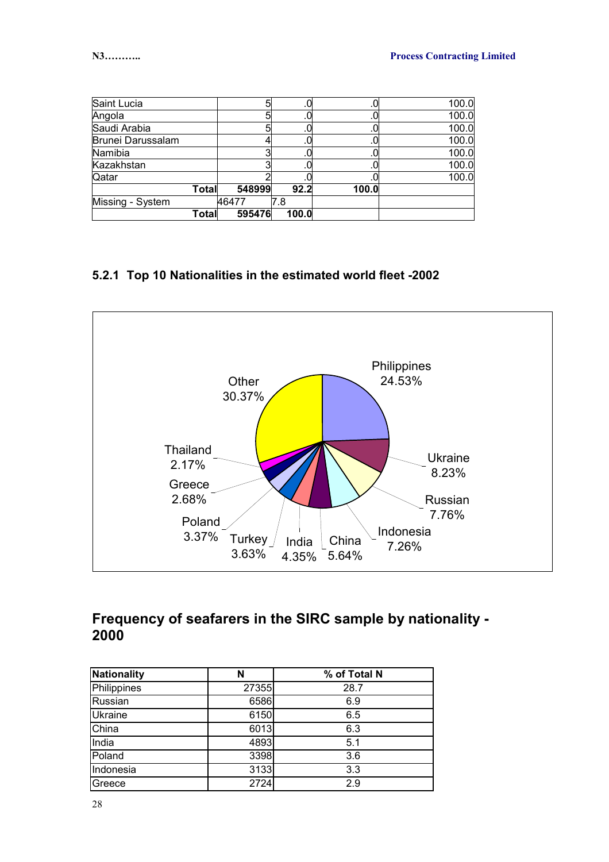| Saint Lucia       |       | 5      |       |       | 100.0 |
|-------------------|-------|--------|-------|-------|-------|
| Angola            |       | 5      |       |       | 100.0 |
| Saudi Arabia      |       | 5      | υ.    |       | 100.0 |
| Brunei Darussalam |       |        |       |       | 100.0 |
| Namibia           |       |        |       |       | 100.0 |
| Kazakhstan        |       | ◠      | .0    |       | 100.0 |
| Qatar             |       |        |       |       | 100.0 |
|                   | Total | 548999 | 92.2  | 100.0 |       |
| Missing - System  |       | 46477  | 7.8   |       |       |
|                   | Total | 595476 | 100.0 |       |       |

### **5.2.1 Top 10 Nationalities in the estimated world fleet -2002**



### **Frequency of seafarers in the SIRC sample by nationality - 2000**

| <b>Nationality</b> | N     | % of Total N |
|--------------------|-------|--------------|
| Philippines        | 27355 | 28.7         |
| Russian            | 6586  | 6.9          |
| <b>Ukraine</b>     | 6150  | 6.5          |
| China              | 6013  | 6.3          |
| India              | 4893  | 5.1          |
| Poland             | 3398  | 3.6          |
| Indonesia          | 3133  | 3.3          |
| Greece             | 2724  | 2.9          |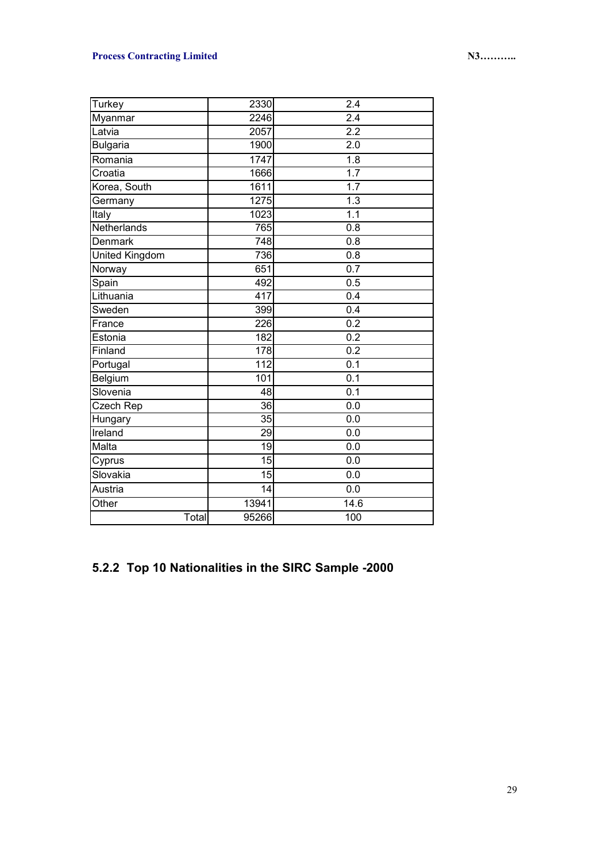### **Process Contracting Limited N3………. N3……….**

| Turkey                | 2330             | 2.4              |
|-----------------------|------------------|------------------|
| Myanmar               | 2246             | $\overline{2.4}$ |
| Latvia                | 2057             | $\overline{2.2}$ |
| <b>Bulgaria</b>       | 1900             | 2.0              |
| Romania               | 1747             | $\overline{1.8}$ |
| Croatia               | 1666             | 1.7              |
| Korea, South          | 1611             | 1.7              |
| Germany               | 1275             | $\overline{1.3}$ |
| Italy                 | 1023             | 1.1              |
| Netherlands           | 765              | $\overline{0.8}$ |
| Denmark               | 748              | 0.8              |
| <b>United Kingdom</b> | 736              | 0.8              |
| Norway                | 651              | 0.7              |
| Spain                 | 492              | 0.5              |
| Lithuania             | $\overline{417}$ | 0.4              |
| Sweden                | 399              | 0.4              |
| France                | 226              | $\overline{0.2}$ |
| Estonia               | 182              | 0.2              |
| Finland               | 178              | 0.2              |
| Portugal              | 112              | 0.1              |
| Belgium               | 101              | 0.1              |
| Slovenia              | 48               | 0.1              |
| Czech Rep             | $\overline{36}$  | 0.0              |
| Hungary               | 35               | 0.0              |
| Ireland               | 29               | 0.0              |
| Malta                 | 19               | 0.0              |
| Cyprus                | 15               | 0.0              |
| Slovakia              | 15               | 0.0              |
| Austria               | 14               | 0.0              |
| Other                 | 13941            | 14.6             |
| Total                 | 95266            | 100              |

# **5.2.2 Top 10 Nationalities in the SIRC Sample -2000**